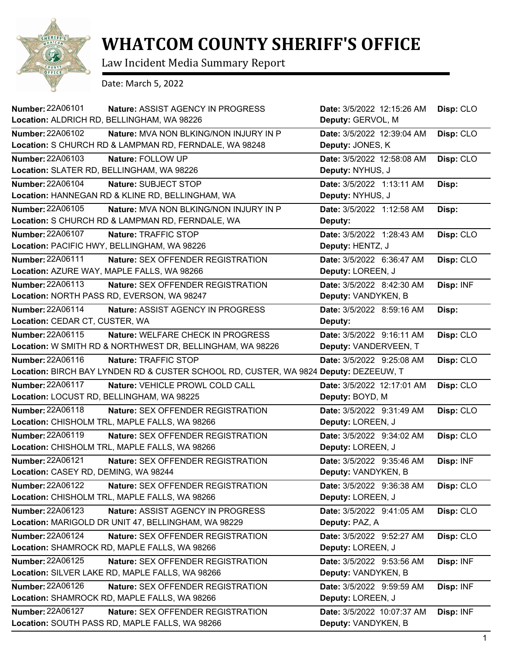

## **WHATCOM COUNTY SHERIFF'S OFFICE**

Law Incident Media Summary Report

Date: March 5, 2022

| <b>Number: 22A06101</b><br>Nature: ASSIST AGENCY IN PROGRESS                         | Date: 3/5/2022 12:15:26 AM | Disp: CLO |
|--------------------------------------------------------------------------------------|----------------------------|-----------|
| Location: ALDRICH RD, BELLINGHAM, WA 98226                                           | Deputy: GERVOL, M          |           |
| <b>Number: 22A06102</b><br>Nature: MVA NON BLKING/NON INJURY IN P                    | Date: 3/5/2022 12:39:04 AM | Disp: CLO |
| Location: S CHURCH RD & LAMPMAN RD, FERNDALE, WA 98248                               | Deputy: JONES, K           |           |
| Number: 22A06103<br>Nature: FOLLOW UP                                                | Date: 3/5/2022 12:58:08 AM | Disp: CLO |
| Location: SLATER RD, BELLINGHAM, WA 98226                                            | Deputy: NYHUS, J           |           |
| <b>Number: 22A06104</b><br>Nature: SUBJECT STOP                                      | Date: 3/5/2022 1:13:11 AM  | Disp:     |
| Location: HANNEGAN RD & KLINE RD, BELLINGHAM, WA                                     | Deputy: NYHUS, J           |           |
| <b>Number: 22A06105</b><br>Nature: MVA NON BLKING/NON INJURY IN P                    | Date: 3/5/2022 1:12:58 AM  | Disp:     |
| Location: S CHURCH RD & LAMPMAN RD, FERNDALE, WA                                     | Deputy:                    |           |
| Number: 22A06107<br>Nature: TRAFFIC STOP                                             | Date: 3/5/2022 1:28:43 AM  | Disp: CLO |
| Location: PACIFIC HWY, BELLINGHAM, WA 98226                                          | Deputy: HENTZ, J           |           |
| <b>Number: 22A06111</b><br><b>Nature: SEX OFFENDER REGISTRATION</b>                  | Date: 3/5/2022 6:36:47 AM  | Disp: CLO |
| Location: AZURE WAY, MAPLE FALLS, WA 98266                                           | Deputy: LOREEN, J          |           |
| Number: 22A06113<br>Nature: SEX OFFENDER REGISTRATION                                | Date: 3/5/2022 8:42:30 AM  | Disp: INF |
| Location: NORTH PASS RD, EVERSON, WA 98247                                           | Deputy: VANDYKEN, B        |           |
| <b>Number: 22A06114</b><br>Nature: ASSIST AGENCY IN PROGRESS                         | Date: 3/5/2022 8:59:16 AM  | Disp:     |
| Location: CEDAR CT, CUSTER, WA                                                       | Deputy:                    |           |
| Number: 22A06115<br>Nature: WELFARE CHECK IN PROGRESS                                | Date: 3/5/2022 9:16:11 AM  | Disp: CLO |
| Location: W SMITH RD & NORTHWEST DR, BELLINGHAM, WA 98226                            | Deputy: VANDERVEEN, T      |           |
| Number: 22A06116<br>Nature: TRAFFIC STOP                                             | Date: 3/5/2022 9:25:08 AM  | Disp: CLO |
| Location: BIRCH BAY LYNDEN RD & CUSTER SCHOOL RD, CUSTER, WA 9824 Deputy: DEZEEUW, T |                            |           |
| <b>Number: 22A06117</b><br>Nature: VEHICLE PROWL COLD CALL                           | Date: 3/5/2022 12:17:01 AM | Disp: CLO |
| Location: LOCUST RD, BELLINGHAM, WA 98225                                            | Deputy: BOYD, M            |           |
| Number: 22A06118<br>Nature: SEX OFFENDER REGISTRATION                                | Date: 3/5/2022 9:31:49 AM  | Disp: CLO |
| Location: CHISHOLM TRL, MAPLE FALLS, WA 98266                                        | Deputy: LOREEN, J          |           |
| Number: 22A06119<br>Nature: SEX OFFENDER REGISTRATION                                | Date: 3/5/2022 9:34:02 AM  | Disp: CLO |
| Location: CHISHOLM TRL, MAPLE FALLS, WA 98266                                        | Deputy: LOREEN, J          |           |
| Number: 22A06121<br>Nature: SEX OFFENDER REGISTRATION                                | Date: 3/5/2022 9:35:46 AM  | Disp: INF |
| Location: CASEY RD, DEMING, WA 98244                                                 | Deputy: VANDYKEN, B        |           |
| <b>Number: 22A06122</b><br>Nature: SEX OFFENDER REGISTRATION                         | Date: 3/5/2022 9:36:38 AM  | Disp: CLO |
| Location: CHISHOLM TRL, MAPLE FALLS, WA 98266                                        | Deputy: LOREEN, J          |           |
| Number: 22A06123<br>Nature: ASSIST AGENCY IN PROGRESS                                | Date: 3/5/2022 9:41:05 AM  | Disp: CLO |
| Location: MARIGOLD DR UNIT 47, BELLINGHAM, WA 98229                                  | Deputy: PAZ, A             |           |
| <b>Number: 22A06124</b><br><b>Nature: SEX OFFENDER REGISTRATION</b>                  | Date: 3/5/2022 9:52:27 AM  | Disp: CLO |
| Location: SHAMROCK RD, MAPLE FALLS, WA 98266                                         | Deputy: LOREEN, J          |           |
| Number: 22A06125<br><b>Nature: SEX OFFENDER REGISTRATION</b>                         | Date: 3/5/2022 9:53:56 AM  | Disp: INF |
| Location: SILVER LAKE RD, MAPLE FALLS, WA 98266                                      | Deputy: VANDYKEN, B        |           |
| Number: 22A06126<br>Nature: SEX OFFENDER REGISTRATION                                | Date: 3/5/2022 9:59:59 AM  | Disp: INF |
| Location: SHAMROCK RD, MAPLE FALLS, WA 98266                                         | Deputy: LOREEN, J          |           |
| <b>Number: 22A06127</b><br><b>Nature: SEX OFFENDER REGISTRATION</b>                  | Date: 3/5/2022 10:07:37 AM | Disp: INF |
| Location: SOUTH PASS RD, MAPLE FALLS, WA 98266                                       | Deputy: VANDYKEN, B        |           |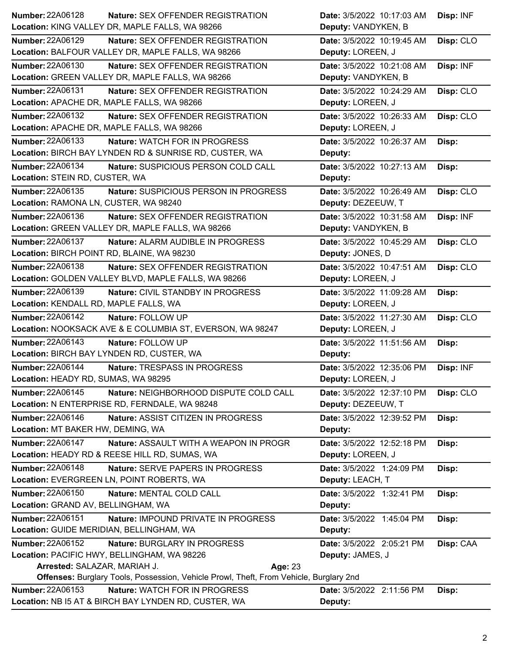| Number: 22A06128                            | <b>Nature: SEX OFFENDER REGISTRATION</b>                                                      | Date: 3/5/2022 10:17:03 AM | Disp: INF |
|---------------------------------------------|-----------------------------------------------------------------------------------------------|----------------------------|-----------|
|                                             | Location: KING VALLEY DR, MAPLE FALLS, WA 98266                                               | Deputy: VANDYKEN, B        |           |
| <b>Number: 22A06129</b>                     | <b>Nature: SEX OFFENDER REGISTRATION</b>                                                      | Date: 3/5/2022 10:19:45 AM | Disp: CLO |
|                                             | Location: BALFOUR VALLEY DR, MAPLE FALLS, WA 98266                                            | Deputy: LOREEN, J          |           |
| Number: 22A06130                            | Nature: SEX OFFENDER REGISTRATION                                                             | Date: 3/5/2022 10:21:08 AM | Disp: INF |
|                                             | Location: GREEN VALLEY DR, MAPLE FALLS, WA 98266                                              | Deputy: VANDYKEN, B        |           |
| <b>Number: 22A06131</b>                     | <b>Nature: SEX OFFENDER REGISTRATION</b>                                                      | Date: 3/5/2022 10:24:29 AM | Disp: CLO |
| Location: APACHE DR, MAPLE FALLS, WA 98266  |                                                                                               | Deputy: LOREEN, J          |           |
| Number: 22A06132                            | Nature: SEX OFFENDER REGISTRATION                                                             | Date: 3/5/2022 10:26:33 AM | Disp: CLO |
| Location: APACHE DR, MAPLE FALLS, WA 98266  |                                                                                               | Deputy: LOREEN, J          |           |
| <b>Number: 22A06133</b>                     | Nature: WATCH FOR IN PROGRESS                                                                 | Date: 3/5/2022 10:26:37 AM | Disp:     |
|                                             | Location: BIRCH BAY LYNDEN RD & SUNRISE RD, CUSTER, WA                                        | Deputy:                    |           |
| <b>Number: 22A06134</b>                     | Nature: SUSPICIOUS PERSON COLD CALL                                                           | Date: 3/5/2022 10:27:13 AM | Disp:     |
| Location: STEIN RD, CUSTER, WA              |                                                                                               | Deputy:                    |           |
| Number: 22A06135                            | Nature: SUSPICIOUS PERSON IN PROGRESS                                                         | Date: 3/5/2022 10:26:49 AM | Disp: CLO |
| Location: RAMONA LN, CUSTER, WA 98240       |                                                                                               | Deputy: DEZEEUW, T         |           |
| Number: 22A06136                            | Nature: SEX OFFENDER REGISTRATION                                                             | Date: 3/5/2022 10:31:58 AM | Disp: INF |
|                                             | Location: GREEN VALLEY DR, MAPLE FALLS, WA 98266                                              | Deputy: VANDYKEN, B        |           |
| Number: 22A06137                            | Nature: ALARM AUDIBLE IN PROGRESS                                                             | Date: 3/5/2022 10:45:29 AM | Disp: CLO |
| Location: BIRCH POINT RD, BLAINE, WA 98230  |                                                                                               | Deputy: JONES, D           |           |
| Number: 22A06138                            | Nature: SEX OFFENDER REGISTRATION                                                             | Date: 3/5/2022 10:47:51 AM | Disp: CLO |
|                                             | Location: GOLDEN VALLEY BLVD, MAPLE FALLS, WA 98266                                           | Deputy: LOREEN, J          |           |
| Number: 22A06139                            | Nature: CIVIL STANDBY IN PROGRESS                                                             | Date: 3/5/2022 11:09:28 AM | Disp:     |
| Location: KENDALL RD, MAPLE FALLS, WA       |                                                                                               | Deputy: LOREEN, J          |           |
| <b>Number: 22A06142</b>                     | Nature: FOLLOW UP                                                                             | Date: 3/5/2022 11:27:30 AM | Disp: CLO |
|                                             | Location: NOOKSACK AVE & E COLUMBIA ST, EVERSON, WA 98247                                     | Deputy: LOREEN, J          |           |
| Number: 22A06143                            | Nature: FOLLOW UP                                                                             | Date: 3/5/2022 11:51:56 AM | Disp:     |
| Location: BIRCH BAY LYNDEN RD, CUSTER, WA   |                                                                                               | Deputy:                    |           |
| <b>Number: 22A06144</b>                     | Nature: TRESPASS IN PROGRESS                                                                  | Date: 3/5/2022 12:35:06 PM | Disp: INF |
| Location: HEADY RD, SUMAS, WA 98295         |                                                                                               | Deputy: LOREEN, J          |           |
| Number: 22A06145                            | Nature: NEIGHBORHOOD DISPUTE COLD CALL                                                        | Date: 3/5/2022 12:37:10 PM | Disp: CLO |
|                                             | Location: N ENTERPRISE RD, FERNDALE, WA 98248                                                 | Deputy: DEZEEUW, T         |           |
| Number: 22A06146                            | Nature: ASSIST CITIZEN IN PROGRESS                                                            | Date: 3/5/2022 12:39:52 PM | Disp:     |
| Location: MT BAKER HW, DEMING, WA           |                                                                                               | Deputy:                    |           |
| <b>Number: 22A06147</b>                     | Nature: ASSAULT WITH A WEAPON IN PROGR                                                        | Date: 3/5/2022 12:52:18 PM | Disp:     |
|                                             | Location: HEADY RD & REESE HILL RD, SUMAS, WA                                                 | Deputy: LOREEN, J          |           |
| Number: 22A06148                            | Nature: SERVE PAPERS IN PROGRESS                                                              | Date: 3/5/2022 1:24:09 PM  | Disp:     |
| Location: EVERGREEN LN, POINT ROBERTS, WA   |                                                                                               | Deputy: LEACH, T           |           |
| Number: 22A06150                            | Nature: MENTAL COLD CALL                                                                      | Date: 3/5/2022 1:32:41 PM  | Disp:     |
| Location: GRAND AV, BELLINGHAM, WA          |                                                                                               | Deputy:                    |           |
| Number: 22A06151                            | Nature: IMPOUND PRIVATE IN PROGRESS                                                           | Date: 3/5/2022 1:45:04 PM  | Disp:     |
| Location: GUIDE MERIDIAN, BELLINGHAM, WA    |                                                                                               | Deputy:                    |           |
| Number: 22A06152                            | Nature: BURGLARY IN PROGRESS                                                                  | Date: 3/5/2022 2:05:21 PM  | Disp: CAA |
| Location: PACIFIC HWY, BELLINGHAM, WA 98226 |                                                                                               | Deputy: JAMES, J           |           |
| Arrested: SALAZAR, MARIAH J.<br>Age: 23     |                                                                                               |                            |           |
|                                             | <b>Offenses: Burglary Tools, Possession, Vehicle Prowl, Theft, From Vehicle, Burglary 2nd</b> |                            |           |
| <b>Number: 22A06153</b>                     | <b>Nature: WATCH FOR IN PROGRESS</b>                                                          | Date: 3/5/2022 2:11:56 PM  | Disp:     |
|                                             | Location: NB I5 AT & BIRCH BAY LYNDEN RD, CUSTER, WA                                          | Deputy:                    |           |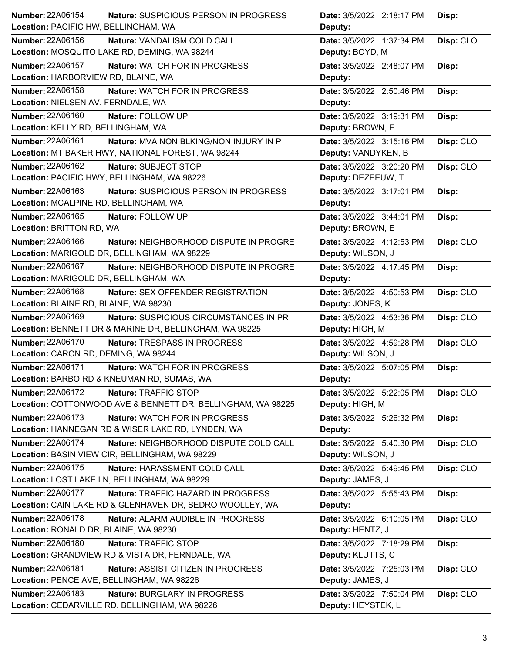| Number: 22A06154                                                  | Nature: SUSPICIOUS PERSON IN PROGRESS<br>Date: 3/5/2022 2:18:17 PM<br>Disp: |  |
|-------------------------------------------------------------------|-----------------------------------------------------------------------------|--|
| Location: PACIFIC HW, BELLINGHAM, WA                              | Deputy:                                                                     |  |
| <b>Number: 22A06156</b><br>Nature: VANDALISM COLD CALL            | Disp: CLO<br>Date: 3/5/2022 1:37:34 PM                                      |  |
| Location: MOSQUITO LAKE RD, DEMING, WA 98244                      | Deputy: BOYD, M                                                             |  |
| Number: 22A06157<br>Nature: WATCH FOR IN PROGRESS                 | Date: 3/5/2022 2:48:07 PM<br>Disp:                                          |  |
| Location: HARBORVIEW RD, BLAINE, WA                               | Deputy:                                                                     |  |
| <b>Number: 22A06158</b><br>Nature: WATCH FOR IN PROGRESS          | Date: 3/5/2022 2:50:46 PM<br>Disp:                                          |  |
| Location: NIELSEN AV, FERNDALE, WA                                | Deputy:                                                                     |  |
| Number: 22A06160<br>Nature: FOLLOW UP                             | Date: 3/5/2022 3:19:31 PM<br>Disp:                                          |  |
| Location: KELLY RD, BELLINGHAM, WA                                | Deputy: BROWN, E                                                            |  |
| Number: 22A06161<br>Nature: MVA NON BLKING/NON INJURY IN P        | Date: 3/5/2022 3:15:16 PM<br>Disp: CLO                                      |  |
| Location: MT BAKER HWY, NATIONAL FOREST, WA 98244                 | Deputy: VANDYKEN, B                                                         |  |
| Number: 22A06162<br>Nature: SUBJECT STOP                          | Date: 3/5/2022 3:20:20 PM<br>Disp: CLO                                      |  |
| Location: PACIFIC HWY, BELLINGHAM, WA 98226                       | Deputy: DEZEEUW, T                                                          |  |
| Number: 22A06163<br>Nature: SUSPICIOUS PERSON IN PROGRESS         | Date: 3/5/2022 3:17:01 PM<br>Disp:                                          |  |
| Location: MCALPINE RD, BELLINGHAM, WA                             | Deputy:                                                                     |  |
| Number: 22A06165<br>Nature: FOLLOW UP                             | Date: 3/5/2022 3:44:01 PM<br>Disp:                                          |  |
| Location: BRITTON RD, WA                                          | Deputy: BROWN, E                                                            |  |
| Number: 22A06166<br>Nature: NEIGHBORHOOD DISPUTE IN PROGRE        | Date: 3/5/2022 4:12:53 PM<br>Disp: CLO                                      |  |
| Location: MARIGOLD DR, BELLINGHAM, WA 98229                       | Deputy: WILSON, J                                                           |  |
| <b>Number: 22A06167</b><br>Nature: NEIGHBORHOOD DISPUTE IN PROGRE | Date: 3/5/2022 4:17:45 PM<br>Disp:                                          |  |
| Location: MARIGOLD DR, BELLINGHAM, WA                             | Deputy:                                                                     |  |
| Number: 22A06168<br>Nature: SEX OFFENDER REGISTRATION             | Date: 3/5/2022 4:50:53 PM<br>Disp: CLO                                      |  |
| Location: BLAINE RD, BLAINE, WA 98230                             | Deputy: JONES, K                                                            |  |
| <b>Number: 22A06169</b><br>Nature: SUSPICIOUS CIRCUMSTANCES IN PR | Date: 3/5/2022 4:53:36 PM<br>Disp: CLO                                      |  |
| Location: BENNETT DR & MARINE DR, BELLINGHAM, WA 98225            | Deputy: HIGH, M                                                             |  |
| Number: 22A06170<br>Nature: TRESPASS IN PROGRESS                  | Disp: CLO<br>Date: 3/5/2022 4:59:28 PM                                      |  |
| Location: CARON RD, DEMING, WA 98244                              | Deputy: WILSON, J                                                           |  |
| <b>Number: 22A06171</b><br>Nature: WATCH FOR IN PROGRESS          | Date: 3/5/2022 5:07:05 PM<br>Disp:                                          |  |
| Location: BARBO RD & KNEUMAN RD, SUMAS, WA                        | <b>Deputy:</b>                                                              |  |
| <b>Number: 22A06172</b><br>Nature: TRAFFIC STOP                   | Disp: CLO<br>Date: 3/5/2022 5:22:05 PM                                      |  |
|                                                                   |                                                                             |  |
| Location: COTTONWOOD AVE & BENNETT DR, BELLINGHAM, WA 98225       | Deputy: HIGH, M                                                             |  |
| Number: 22A06173<br>Nature: WATCH FOR IN PROGRESS                 | Date: 3/5/2022 5:26:32 PM<br>Disp:                                          |  |
| Location: HANNEGAN RD & WISER LAKE RD, LYNDEN, WA                 | Deputy:                                                                     |  |
| Number: 22A06174<br>Nature: NEIGHBORHOOD DISPUTE COLD CALL        | Disp: CLO<br>Date: 3/5/2022 5:40:30 PM                                      |  |
| Location: BASIN VIEW CIR, BELLINGHAM, WA 98229                    | Deputy: WILSON, J                                                           |  |
| Number: 22A06175<br>Nature: HARASSMENT COLD CALL                  | Disp: CLO<br>Date: 3/5/2022 5:49:45 PM                                      |  |
| Location: LOST LAKE LN, BELLINGHAM, WA 98229                      | Deputy: JAMES, J                                                            |  |
| Number: 22A06177<br>Nature: TRAFFIC HAZARD IN PROGRESS            | Date: 3/5/2022 5:55:43 PM<br>Disp:                                          |  |
| Location: CAIN LAKE RD & GLENHAVEN DR, SEDRO WOOLLEY, WA          | Deputy:                                                                     |  |
| <b>Number: 22A06178</b><br>Nature: ALARM AUDIBLE IN PROGRESS      | Disp: CLO<br>Date: 3/5/2022 6:10:05 PM                                      |  |
| Location: RONALD DR, BLAINE, WA 98230                             | Deputy: HENTZ, J                                                            |  |
| Number: 22A06180<br>Nature: TRAFFIC STOP                          | Date: 3/5/2022 7:18:29 PM<br>Disp:                                          |  |
| Location: GRANDVIEW RD & VISTA DR, FERNDALE, WA                   | Deputy: KLUTTS, C                                                           |  |
| Number: 22A06181<br>Nature: ASSIST CITIZEN IN PROGRESS            | Date: 3/5/2022 7:25:03 PM<br>Disp: CLO                                      |  |
| Location: PENCE AVE, BELLINGHAM, WA 98226                         | Deputy: JAMES, J                                                            |  |
| <b>Number: 22A06183</b><br>Nature: BURGLARY IN PROGRESS           | Date: 3/5/2022 7:50:04 PM<br>Disp: CLO                                      |  |